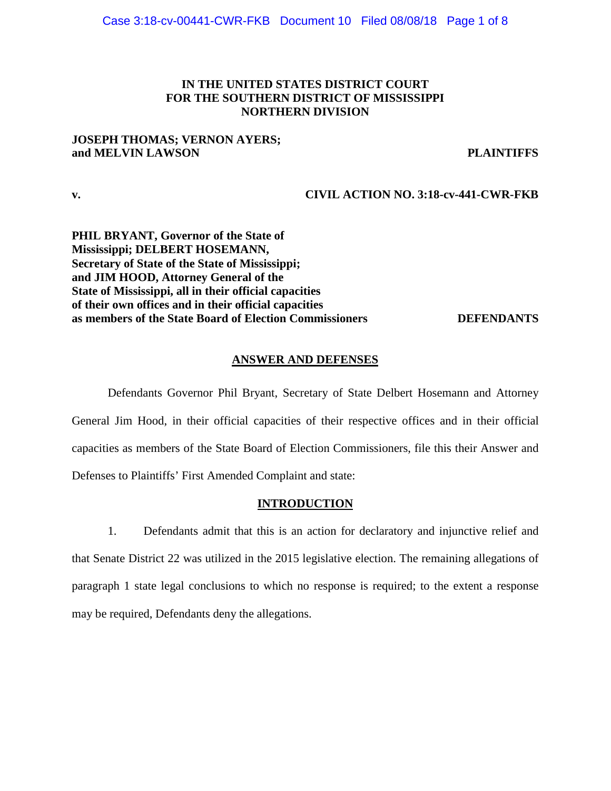# **IN THE UNITED STATES DISTRICT COURT FOR THE SOUTHERN DISTRICT OF MISSISSIPPI NORTHERN DIVISION**

# **JOSEPH THOMAS; VERNON AYERS; and MELVIN LAWSON PLAINTIFFS**

# **v. CIVIL ACTION NO. 3:18-cv-441-CWR-FKB**

**PHIL BRYANT, Governor of the State of Mississippi; DELBERT HOSEMANN, Secretary of State of the State of Mississippi; and JIM HOOD, Attorney General of the State of Mississippi, all in their official capacities of their own offices and in their official capacities as members of the State Board of Election Commissioners DEFENDANTS**

# **ANSWER AND DEFENSES**

Defendants Governor Phil Bryant, Secretary of State Delbert Hosemann and Attorney General Jim Hood, in their official capacities of their respective offices and in their official capacities as members of the State Board of Election Commissioners, file this their Answer and Defenses to Plaintiffs' First Amended Complaint and state:

# **INTRODUCTION**

1. Defendants admit that this is an action for declaratory and injunctive relief and that Senate District 22 was utilized in the 2015 legislative election. The remaining allegations of paragraph 1 state legal conclusions to which no response is required; to the extent a response may be required, Defendants deny the allegations.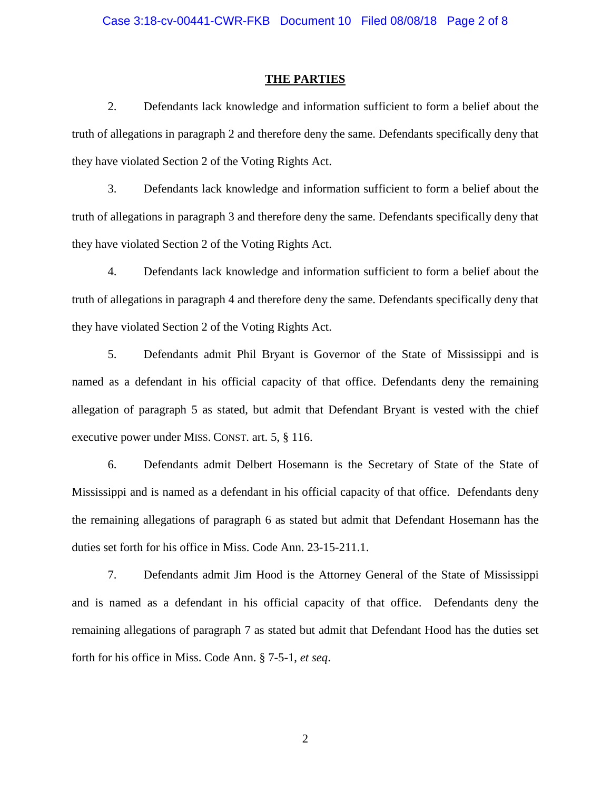#### **THE PARTIES**

2. Defendants lack knowledge and information sufficient to form a belief about the truth of allegations in paragraph 2 and therefore deny the same. Defendants specifically deny that they have violated Section 2 of the Voting Rights Act.

3. Defendants lack knowledge and information sufficient to form a belief about the truth of allegations in paragraph 3 and therefore deny the same. Defendants specifically deny that they have violated Section 2 of the Voting Rights Act.

4. Defendants lack knowledge and information sufficient to form a belief about the truth of allegations in paragraph 4 and therefore deny the same. Defendants specifically deny that they have violated Section 2 of the Voting Rights Act.

5. Defendants admit Phil Bryant is Governor of the State of Mississippi and is named as a defendant in his official capacity of that office. Defendants deny the remaining allegation of paragraph 5 as stated, but admit that Defendant Bryant is vested with the chief executive power under MISS. CONST. art. 5, § 116.

6. Defendants admit Delbert Hosemann is the Secretary of State of the State of Mississippi and is named as a defendant in his official capacity of that office. Defendants deny the remaining allegations of paragraph 6 as stated but admit that Defendant Hosemann has the duties set forth for his office in Miss. Code Ann. 23-15-211.1.

7. Defendants admit Jim Hood is the Attorney General of the State of Mississippi and is named as a defendant in his official capacity of that office. Defendants deny the remaining allegations of paragraph 7 as stated but admit that Defendant Hood has the duties set forth for his office in Miss. Code Ann. § 7-5-1, *et seq*.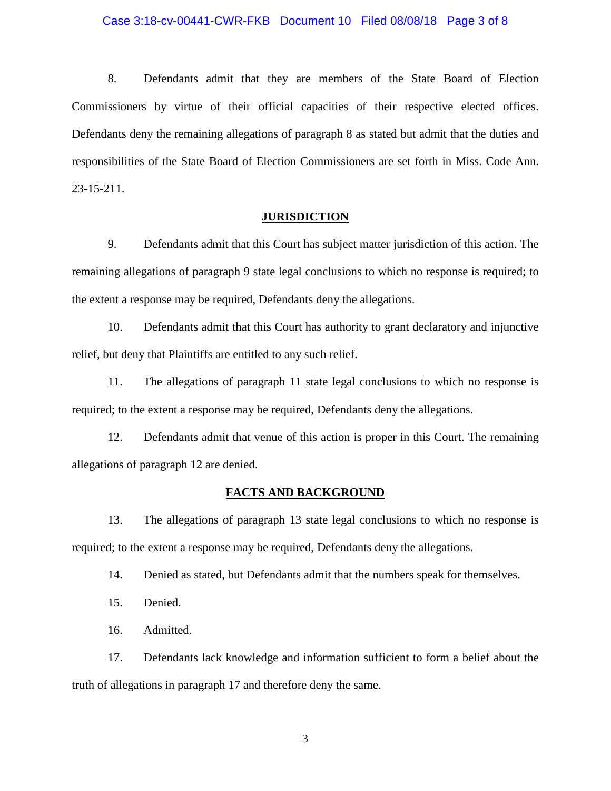### Case 3:18-cv-00441-CWR-FKB Document 10 Filed 08/08/18 Page 3 of 8

8. Defendants admit that they are members of the State Board of Election Commissioners by virtue of their official capacities of their respective elected offices. Defendants deny the remaining allegations of paragraph 8 as stated but admit that the duties and responsibilities of the State Board of Election Commissioners are set forth in Miss. Code Ann. 23-15-211.

# **JURISDICTION**

9. Defendants admit that this Court has subject matter jurisdiction of this action. The remaining allegations of paragraph 9 state legal conclusions to which no response is required; to the extent a response may be required, Defendants deny the allegations.

10. Defendants admit that this Court has authority to grant declaratory and injunctive relief, but deny that Plaintiffs are entitled to any such relief.

11. The allegations of paragraph 11 state legal conclusions to which no response is required; to the extent a response may be required, Defendants deny the allegations.

12. Defendants admit that venue of this action is proper in this Court. The remaining allegations of paragraph 12 are denied.

#### **FACTS AND BACKGROUND**

13. The allegations of paragraph 13 state legal conclusions to which no response is required; to the extent a response may be required, Defendants deny the allegations.

14. Denied as stated, but Defendants admit that the numbers speak for themselves.

15. Denied.

16. Admitted.

17. Defendants lack knowledge and information sufficient to form a belief about the truth of allegations in paragraph 17 and therefore deny the same.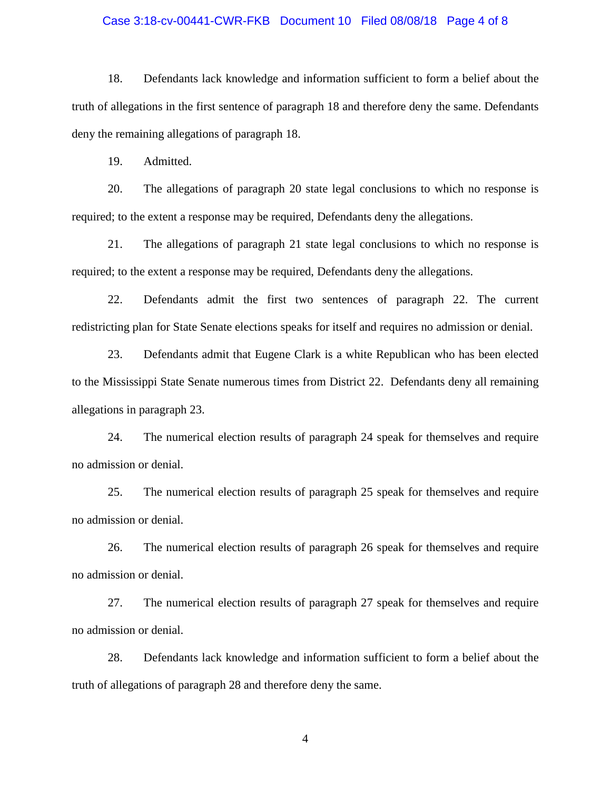### Case 3:18-cv-00441-CWR-FKB Document 10 Filed 08/08/18 Page 4 of 8

18. Defendants lack knowledge and information sufficient to form a belief about the truth of allegations in the first sentence of paragraph 18 and therefore deny the same. Defendants deny the remaining allegations of paragraph 18.

19. Admitted.

20. The allegations of paragraph 20 state legal conclusions to which no response is required; to the extent a response may be required, Defendants deny the allegations.

21. The allegations of paragraph 21 state legal conclusions to which no response is required; to the extent a response may be required, Defendants deny the allegations.

22. Defendants admit the first two sentences of paragraph 22. The current redistricting plan for State Senate elections speaks for itself and requires no admission or denial.

23. Defendants admit that Eugene Clark is a white Republican who has been elected to the Mississippi State Senate numerous times from District 22. Defendants deny all remaining allegations in paragraph 23.

24. The numerical election results of paragraph 24 speak for themselves and require no admission or denial.

25. The numerical election results of paragraph 25 speak for themselves and require no admission or denial.

26. The numerical election results of paragraph 26 speak for themselves and require no admission or denial.

27. The numerical election results of paragraph 27 speak for themselves and require no admission or denial.

28. Defendants lack knowledge and information sufficient to form a belief about the truth of allegations of paragraph 28 and therefore deny the same.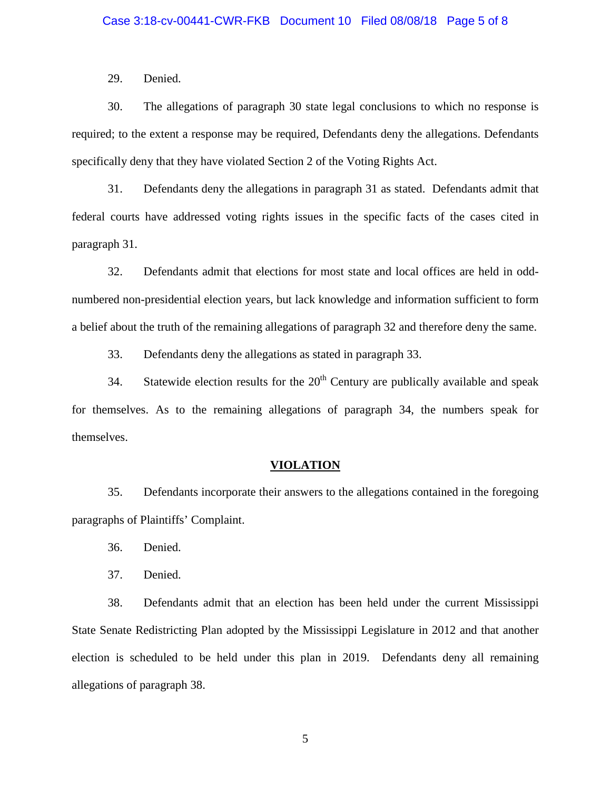### Case 3:18-cv-00441-CWR-FKB Document 10 Filed 08/08/18 Page 5 of 8

29. Denied.

30. The allegations of paragraph 30 state legal conclusions to which no response is required; to the extent a response may be required, Defendants deny the allegations. Defendants specifically deny that they have violated Section 2 of the Voting Rights Act.

31. Defendants deny the allegations in paragraph 31 as stated. Defendants admit that federal courts have addressed voting rights issues in the specific facts of the cases cited in paragraph 31.

32. Defendants admit that elections for most state and local offices are held in oddnumbered non-presidential election years, but lack knowledge and information sufficient to form a belief about the truth of the remaining allegations of paragraph 32 and therefore deny the same.

33. Defendants deny the allegations as stated in paragraph 33.

34. Statewide election results for the  $20<sup>th</sup>$  Century are publically available and speak for themselves. As to the remaining allegations of paragraph 34, the numbers speak for themselves.

#### **VIOLATION**

35. Defendants incorporate their answers to the allegations contained in the foregoing paragraphs of Plaintiffs' Complaint.

- 36. Denied.
- 37. Denied.

38. Defendants admit that an election has been held under the current Mississippi State Senate Redistricting Plan adopted by the Mississippi Legislature in 2012 and that another election is scheduled to be held under this plan in 2019. Defendants deny all remaining allegations of paragraph 38.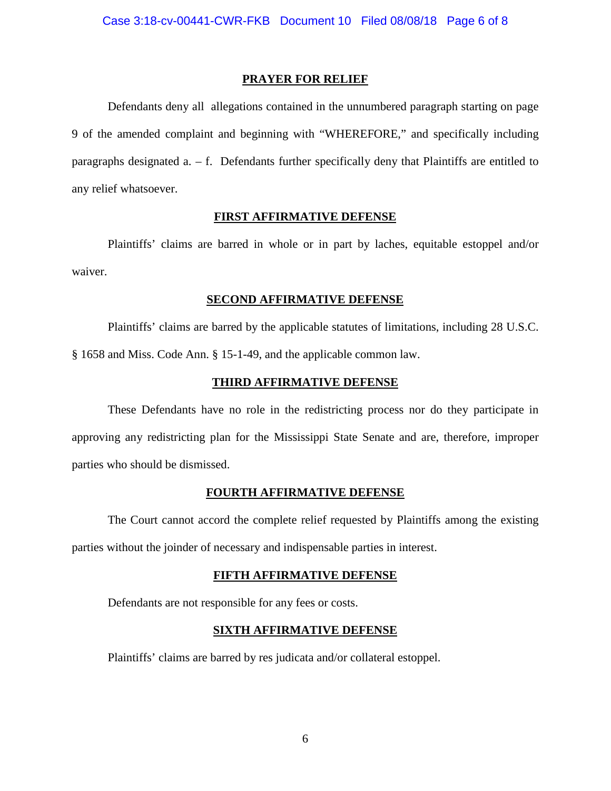## **PRAYER FOR RELIEF**

Defendants deny all allegations contained in the unnumbered paragraph starting on page 9 of the amended complaint and beginning with "WHEREFORE," and specifically including paragraphs designated  $a - f$ . Defendants further specifically deny that Plaintiffs are entitled to any relief whatsoever.

# **FIRST AFFIRMATIVE DEFENSE**

Plaintiffs' claims are barred in whole or in part by laches, equitable estoppel and/or waiver.

## **SECOND AFFIRMATIVE DEFENSE**

Plaintiffs' claims are barred by the applicable statutes of limitations, including 28 U.S.C. § 1658 and Miss. Code Ann. § 15-1-49, and the applicable common law.

# **THIRD AFFIRMATIVE DEFENSE**

These Defendants have no role in the redistricting process nor do they participate in approving any redistricting plan for the Mississippi State Senate and are, therefore, improper parties who should be dismissed.

# **FOURTH AFFIRMATIVE DEFENSE**

The Court cannot accord the complete relief requested by Plaintiffs among the existing parties without the joinder of necessary and indispensable parties in interest.

#### **FIFTH AFFIRMATIVE DEFENSE**

Defendants are not responsible for any fees or costs.

# **SIXTH AFFIRMATIVE DEFENSE**

Plaintiffs' claims are barred by res judicata and/or collateral estoppel.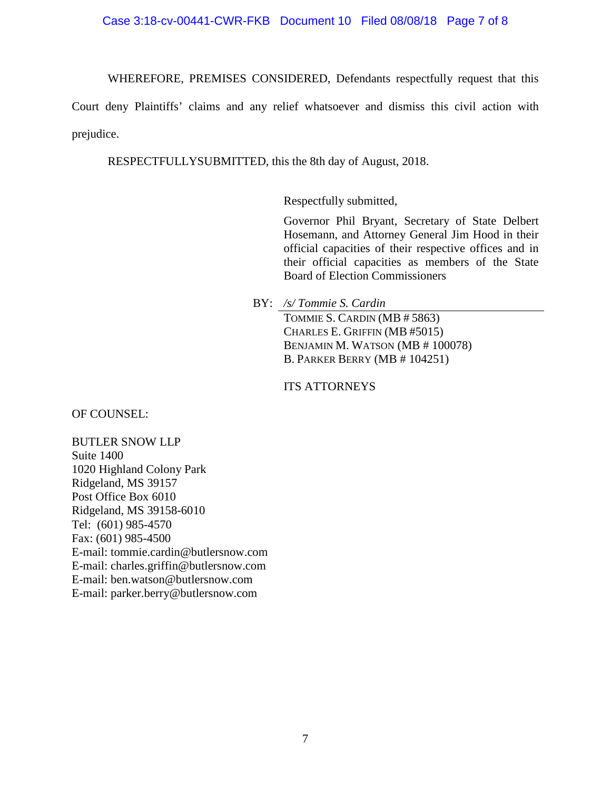# Case 3:18-cv-00441-CWR-FKB Document 10 Filed 08/08/18 Page 7 of 8

WHEREFORE, PREMISES CONSIDERED, Defendants respectfully request that this

Court deny Plaintiffs' claims and any relief whatsoever and dismiss this civil action with prejudice.

RESPECTFULLYSUBMITTED, this the 8th day of August, 2018.

Respectfully submitted,

Governor Phil Bryant, Secretary of State Delbert Hosemann, and Attorney General Jim Hood in their official capacities of their respective offices and in their official capacities as members of the State Board of Election Commissioners

BY: */s/ Tommie S. Cardin*

TOMMIE S. CARDIN (MB # 5863) CHARLES E. GRIFFIN (MB #5015) BENJAMIN M. WATSON (MB # 100078) B. PARKER BERRY (MB # 104251)

ITS ATTORNEYS

OF COUNSEL:

BUTLER SNOW LLP Suite 1400 1020 Highland Colony Park Ridgeland, MS 39157 Post Office Box 6010 Ridgeland, MS 39158-6010 Tel: (601) 985-4570 Fax: (601) 985-4500 E-mail: tommie.cardin@butlersnow.com E-mail: charles.griffin@butlersnow.com E-mail: ben.watson@butlersnow.com E-mail: parker.berry@butlersnow.com